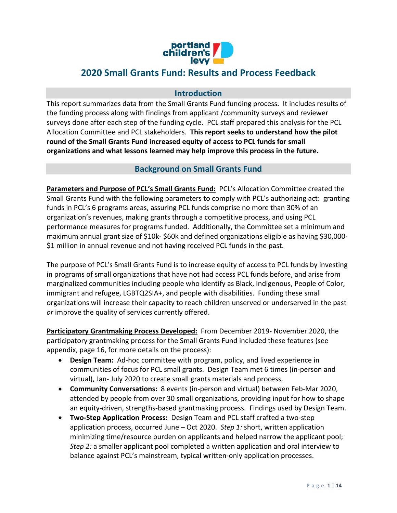

# **2020 Small Grants Fund: Results and Process Feedback**

## **Introduction**

This report summarizes data from the Small Grants Fund funding process. It includes results of the funding process along with findings from applicant /community surveys and reviewer surveys done after each step of the funding cycle. PCL staff prepared this analysis for the PCL Allocation Committee and PCL stakeholders. **This report seeks to understand how the pilot round of the Small Grants Fund increased equity of access to PCL funds for small organizations and what lessons learned may help improve this process in the future.**

## **Background on Small Grants Fund**

**Parameters and Purpose of PCL's Small Grants Fund:** PCL's Allocation Committee created the Small Grants Fund with the following parameters to comply with PCL's authorizing act: granting funds in PCL's 6 programs areas, assuring PCL funds comprise no more than 30% of an organization's revenues, making grants through a competitive process, and using PCL performance measures for programs funded. Additionally, the Committee set a minimum and maximum annual grant size of \$10k- \$60k and defined organizations eligible as having \$30,000- \$1 million in annual revenue and not having received PCL funds in the past.

The purpose of PCL's Small Grants Fund is to increase equity of access to PCL funds by investing in programs of small organizations that have not had access PCL funds before, and arise from marginalized communities including people who identify as Black, Indigenous, People of Color, immigrant and refugee, LGBTQ2SIA+, and people with disabilities. Funding these small organizations will increase their capacity to reach children unserved or underserved in the past *or* improve the quality of services currently offered.

**Participatory Grantmaking Process Developed:** From December 2019- November 2020, the participatory grantmaking process for the Small Grants Fund included these features (see appendix, page 16, for more details on the process):

- **Design Team:** Ad-hoc committee with program, policy, and lived experience in communities of focus for PCL small grants. Design Team met 6 times (in-person and virtual), Jan- July 2020 to create small grants materials and process.
- **Community Conversations:** 8 events (in-person and virtual) between Feb-Mar 2020, attended by people from over 30 small organizations, providing input for how to shape an equity-driven, strengths-based grantmaking process. Findings used by Design Team.
- **Two-Step Application Process:** Design Team and PCL staff crafted a two-step application process, occurred June – Oct 2020. *Step 1:* short, written application minimizing time/resource burden on applicants and helped narrow the applicant pool; *Step 2:* a smaller applicant pool completed a written application and oral interview to balance against PCL's mainstream, typical written-only application processes.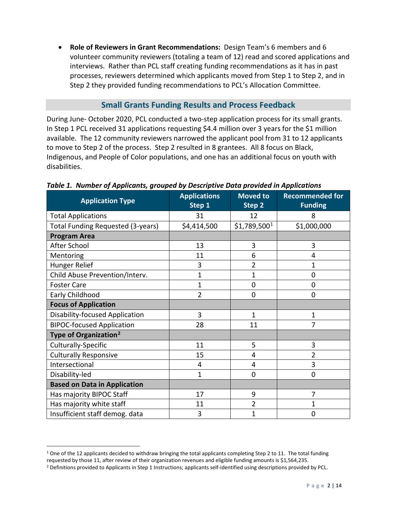• **Role of Reviewers in Grant Recommendations:** Design Team's 6 members and 6 volunteer community reviewers (totaling a team of 12) read and scored applications and interviews. Rather than PCL staff creating funding recommendations as it has in past processes, reviewers determined which applicants moved from Step 1 to Step 2, and in Step 2 they provided funding recommendations to PCL's Allocation Committee.

## **Small Grants Funding Results and Process Feedback**

During June- October 2020, PCL conducted a two-step application process for its small grants. In Step 1 PCL received 31 applications requesting \$4.4 million over 3 years for the \$1 million available. The 12 community reviewers narrowed the applicant pool from 31 to 12 applicants to move to Step 2 of the process. Step 2 resulted in 8 grantees. All 8 focus on Black, Indigenous, and People of Color populations, and one has an additional focus on youth with disabilities.

| <b>Application Type</b>                  | <b>Applications</b><br>Step 1 | <b>Moved to</b><br>Step 2 | <b>Recommended for</b><br><b>Funding</b> |  |
|------------------------------------------|-------------------------------|---------------------------|------------------------------------------|--|
| <b>Total Applications</b>                | 31                            | 12                        | 8                                        |  |
| <b>Total Funding Requested (3-years)</b> | \$4,414,500                   | $$1,789,500^1$            | \$1,000,000                              |  |
| <b>Program Area</b>                      |                               |                           |                                          |  |
| After School                             | 13                            | 3                         | 3                                        |  |
| Mentoring                                | 11                            | 6                         | 4                                        |  |
| Hunger Relief                            | 3                             | $\overline{2}$            | 1                                        |  |
| Child Abuse Prevention/Interv.           | 1                             | $\overline{1}$            | 0                                        |  |
| <b>Foster Care</b>                       | $\mathbf 1$                   | 0                         | 0                                        |  |
| Early Childhood                          | $\overline{2}$                | 0                         | 0                                        |  |
| <b>Focus of Application</b>              |                               |                           |                                          |  |
| <b>Disability-focused Application</b>    | 3                             | $\mathbf{1}$              | $\mathbf{1}$                             |  |
| <b>BIPOC-focused Application</b>         | 28                            | 11                        | 7                                        |  |
| Type of Organization <sup>2</sup>        |                               |                           |                                          |  |
| Culturally-Specific                      | 11                            | 5                         | 3                                        |  |
| <b>Culturally Responsive</b>             | 15                            | 4                         | $\overline{2}$                           |  |
| Intersectional                           | 4                             | 4                         | 3                                        |  |
| Disability-led                           | $\mathbf{1}$                  | 0                         | 0                                        |  |
| <b>Based on Data in Application</b>      |                               |                           |                                          |  |
| Has majority BIPOC Staff                 | 17                            | 9                         | 7                                        |  |
| Has majority white staff                 | 11                            | 2                         | 1                                        |  |
| Insufficient staff demog. data           | 3                             | $\mathbf{1}$              | 0                                        |  |

#### *Table 1. Number of Applicants, grouped by Descriptive Data provided in Applications*

<span id="page-1-0"></span><sup>1</sup> One of the 12 applicants decided to withdraw bringing the total applicants completing Step 2 to 11. The total funding

requested by those 11, after review of their organization revenues and eligible funding amounts is \$1,564,235.

<span id="page-1-1"></span><sup>&</sup>lt;sup>2</sup> Definitions provided to Applicants in Step 1 Instructions; applicants self-identified using descriptions provided by PCL.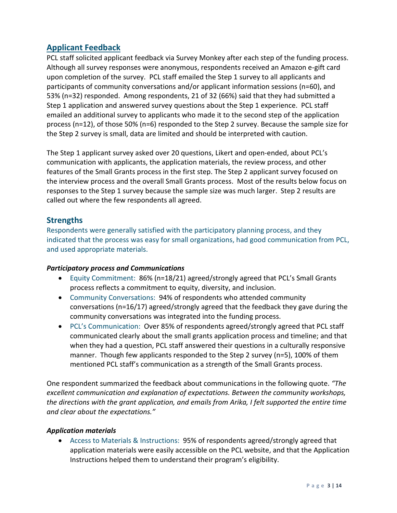## **Applicant Feedback**

PCL staff solicited applicant feedback via Survey Monkey after each step of the funding process. Although all survey responses were anonymous, respondents received an Amazon e-gift card upon completion of the survey. PCL staff emailed the Step 1 survey to all applicants and participants of community conversations and/or applicant information sessions (n=60), and 53% (n=32) responded. Among respondents, 21 of 32 (66%) said that they had submitted a Step 1 application and answered survey questions about the Step 1 experience. PCL staff emailed an additional survey to applicants who made it to the second step of the application process (n=12), of those 50% (n=6) responded to the Step 2 survey. Because the sample size for the Step 2 survey is small, data are limited and should be interpreted with caution.

The Step 1 applicant survey asked over 20 questions, Likert and open-ended, about PCL's communication with applicants, the application materials, the review process, and other features of the Small Grants process in the first step. The Step 2 applicant survey focused on the interview process and the overall Small Grants process. Most of the results below focus on responses to the Step 1 survey because the sample size was much larger. Step 2 results are called out where the few respondents all agreed.

## **Strengths**

Respondents were generally satisfied with the participatory planning process, and they indicated that the process was easy for small organizations, had good communication from PCL, and used appropriate materials.

## *Participatory process and Communications*

- Equity Commitment: 86% (n=18/21) agreed/strongly agreed that PCL's Small Grants process reflects a commitment to equity, diversity, and inclusion.
- Community Conversations: 94% of respondents who attended community conversations (n=16/17) agreed/strongly agreed that the feedback they gave during the community conversations was integrated into the funding process.
- PCL's Communication: Over 85% of respondents agreed/strongly agreed that PCL staff communicated clearly about the small grants application process and timeline; and that when they had a question, PCL staff answered their questions in a culturally responsive manner. Though few applicants responded to the Step 2 survey (n=5), 100% of them mentioned PCL staff's communication as a strength of the Small Grants process.

One respondent summarized the feedback about communications in the following quote. *"The excellent communication and explanation of expectations. Between the community workshops, the directions with the grant application, and emails from Arika, I felt supported the entire time and clear about the expectations."*

## *Application materials*

• Access to Materials & Instructions: 95% of respondents agreed/strongly agreed that application materials were easily accessible on the PCL website, and that the Application Instructions helped them to understand their program's eligibility.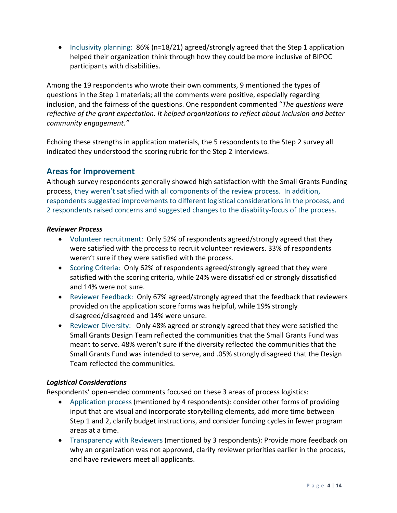• Inclusivity planning: 86% (n=18/21) agreed/strongly agreed that the Step 1 application helped their organization think through how they could be more inclusive of BIPOC participants with disabilities.

Among the 19 respondents who wrote their own comments, 9 mentioned the types of questions in the Step 1 materials; all the comments were positive, especially regarding inclusion, and the fairness of the questions. One respondent commented "*The questions were reflective of the grant expectation. It helped organizations to reflect about inclusion and better community engagement."*

Echoing these strengths in application materials, the 5 respondents to the Step 2 survey all indicated they understood the scoring rubric for the Step 2 interviews.

## **Areas for Improvement**

Although survey respondents generally showed high satisfaction with the Small Grants Funding process, they weren't satisfied with all components of the review process. In addition, respondents suggested improvements to different logistical considerations in the process, and 2 respondents raised concerns and suggested changes to the disability-focus of the process.

## *Reviewer Process*

- Volunteer recruitment: Only 52% of respondents agreed/strongly agreed that they were satisfied with the process to recruit volunteer reviewers. 33% of respondents weren't sure if they were satisfied with the process.
- Scoring Criteria: Only 62% of respondents agreed/strongly agreed that they were satisfied with the scoring criteria, while 24% were dissatisfied or strongly dissatisfied and 14% were not sure.
- Reviewer Feedback: Only 67% agreed/strongly agreed that the feedback that reviewers provided on the application score forms was helpful, while 19% strongly disagreed/disagreed and 14% were unsure.
- Reviewer Diversity: Only 48% agreed or strongly agreed that they were satisfied the Small Grants Design Team reflected the communities that the Small Grants Fund was meant to serve. 48% weren't sure if the diversity reflected the communities that the Small Grants Fund was intended to serve, and .05% strongly disagreed that the Design Team reflected the communities.

## *Logistical Considerations*

Respondents' open-ended comments focused on these 3 areas of process logistics:

- Application process (mentioned by 4 respondents): consider other forms of providing input that are visual and incorporate storytelling elements, add more time between Step 1 and 2, clarify budget instructions, and consider funding cycles in fewer program areas at a time.
- Transparency with Reviewers (mentioned by 3 respondents): Provide more feedback on why an organization was not approved, clarify reviewer priorities earlier in the process, and have reviewers meet all applicants.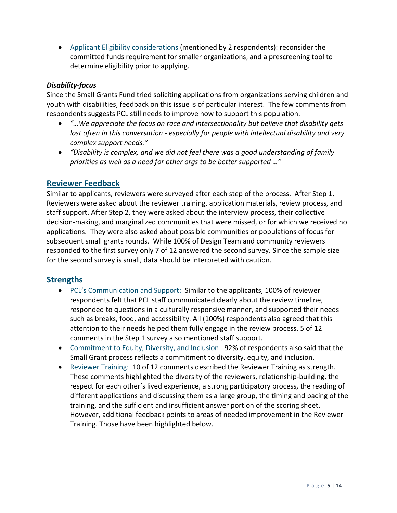• Applicant Eligibility considerations (mentioned by 2 respondents): reconsider the committed funds requirement for smaller organizations, and a prescreening tool to determine eligibility prior to applying.

#### *Disability-focus*

Since the Small Grants Fund tried soliciting applications from organizations serving children and youth with disabilities, feedback on this issue is of particular interest. The few comments from respondents suggests PCL still needs to improve how to support this population.

- *"…We appreciate the focus on race and intersectionality but believe that disability gets lost often in this conversation - especially for people with intellectual disability and very complex support needs."*
- *"Disability is complex, and we did not feel there was a good understanding of family priorities as well as a need for other orgs to be better supported …"*

## **Reviewer Feedback**

Similar to applicants, reviewers were surveyed after each step of the process. After Step 1, Reviewers were asked about the reviewer training, application materials, review process, and staff support. After Step 2, they were asked about the interview process, their collective decision-making, and marginalized communities that were missed, or for which we received no applications. They were also asked about possible communities or populations of focus for subsequent small grants rounds. While 100% of Design Team and community reviewers responded to the first survey only 7 of 12 answered the second survey. Since the sample size for the second survey is small, data should be interpreted with caution.

## **Strengths**

- PCL's Communication and Support: Similar to the applicants, 100% of reviewer respondents felt that PCL staff communicated clearly about the review timeline, responded to questions in a culturally responsive manner, and supported their needs such as breaks, food, and accessibility. All (100%) respondents also agreed that this attention to their needs helped them fully engage in the review process. 5 of 12 comments in the Step 1 survey also mentioned staff support.
- Commitment to Equity, Diversity, and Inclusion: 92% of respondents also said that the Small Grant process reflects a commitment to diversity, equity, and inclusion.
- Reviewer Training: 10 of 12 comments described the Reviewer Training as strength. These comments highlighted the diversity of the reviewers, relationship-building, the respect for each other's lived experience, a strong participatory process, the reading of different applications and discussing them as a large group, the timing and pacing of the training, and the sufficient and insufficient answer portion of the scoring sheet. However, additional feedback points to areas of needed improvement in the Reviewer Training. Those have been highlighted below.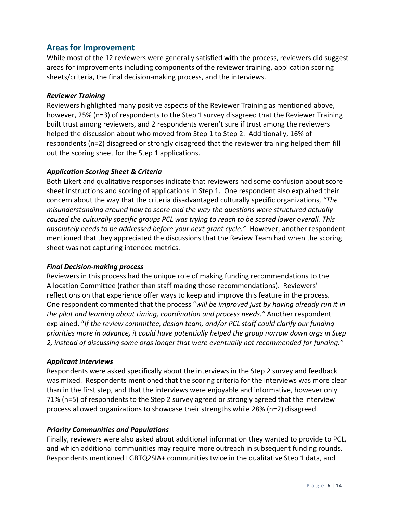## **Areas for Improvement**

While most of the 12 reviewers were generally satisfied with the process, reviewers did suggest areas for improvements including components of the reviewer training, application scoring sheets/criteria, the final decision-making process, and the interviews.

#### *Reviewer Training*

Reviewers highlighted many positive aspects of the Reviewer Training as mentioned above, however, 25% (n=3) of respondents to the Step 1 survey disagreed that the Reviewer Training built trust among reviewers, and 2 respondents weren't sure if trust among the reviewers helped the discussion about who moved from Step 1 to Step 2. Additionally, 16% of respondents (n=2) disagreed or strongly disagreed that the reviewer training helped them fill out the scoring sheet for the Step 1 applications.

### *Application Scoring Sheet & Criteria*

Both Likert and qualitative responses indicate that reviewers had some confusion about score sheet instructions and scoring of applications in Step 1. One respondent also explained their concern about the way that the criteria disadvantaged culturally specific organizations, *"The misunderstanding around how to score and the way the questions were structured actually caused the culturally specific groups PCL was trying to reach to be scored lower overall. This absolutely needs to be addressed before your next grant cycle."* However, another respondent mentioned that they appreciated the discussions that the Review Team had when the scoring sheet was not capturing intended metrics.

#### *Final Decision-making process*

Reviewers in this process had the unique role of making funding recommendations to the Allocation Committee (rather than staff making those recommendations). Reviewers' reflections on that experience offer ways to keep and improve this feature in the process. One respondent commented that the process "*will be improved just by having already run it in the pilot and learning about timing, coordination and process needs."* Another respondent explained, "*If the review committee, design team, and/or PCL staff could clarify our funding priorities more in advance, it could have potentially helped the group narrow down orgs in Step 2, instead of discussing some orgs longer that were eventually not recommended for funding."*

#### *Applicant Interviews*

Respondents were asked specifically about the interviews in the Step 2 survey and feedback was mixed. Respondents mentioned that the scoring criteria for the interviews was more clear than in the first step, and that the interviews were enjoyable and informative, however only 71% (n=5) of respondents to the Step 2 survey agreed or strongly agreed that the interview process allowed organizations to showcase their strengths while 28% (n=2) disagreed.

## *Priority Communities and Populations*

Finally, reviewers were also asked about additional information they wanted to provide to PCL, and which additional communities may require more outreach in subsequent funding rounds. Respondents mentioned LGBTQ2SIA+ communities twice in the qualitative Step 1 data, and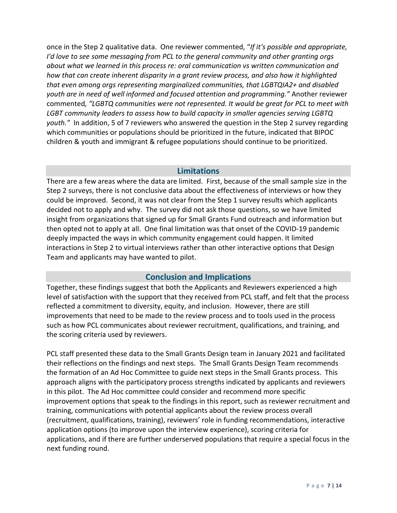once in the Step 2 qualitative data. One reviewer commented, "*If it's possible and appropriate, I'd love to see some messaging from PCL to the general community and other granting orgs about what we learned in this process re: oral communication vs written communication and how that can create inherent disparity in a grant review process, and also how it highlighted that even among orgs representing marginalized communities, that LGBTQIA2+ and disabled youth are in need of well informed and focused attention and programming."* Another reviewer commented*, "LGBTQ communities were not represented. It would be great for PCL to meet with LGBT community leaders to assess how to build capacity in smaller agencies serving LGBTQ youth."* In addition, 5 of 7 reviewers who answered the question in the Step 2 survey regarding which communities or populations should be prioritized in the future, indicated that BIPOC children & youth and immigrant & refugee populations should continue to be prioritized.

### **Limitations**

There are a few areas where the data are limited. First, because of the small sample size in the Step 2 surveys, there is not conclusive data about the effectiveness of interviews or how they could be improved. Second, it was not clear from the Step 1 survey results which applicants decided not to apply and why. The survey did not ask those questions, so we have limited insight from organizations that signed up for Small Grants Fund outreach and information but then opted not to apply at all. One final limitation was that onset of the COVID-19 pandemic deeply impacted the ways in which community engagement could happen. It limited interactions in Step 2 to virtual interviews rather than other interactive options that Design Team and applicants may have wanted to pilot.

## **Conclusion and Implications**

Together, these findings suggest that both the Applicants and Reviewers experienced a high level of satisfaction with the support that they received from PCL staff, and felt that the process reflected a commitment to diversity, equity, and inclusion. However, there are still improvements that need to be made to the review process and to tools used in the process such as how PCL communicates about reviewer recruitment, qualifications, and training, and the scoring criteria used by reviewers.

PCL staff presented these data to the Small Grants Design team in January 2021 and facilitated their reflections on the findings and next steps. The Small Grants Design Team recommends the formation of an Ad Hoc Committee to guide next steps in the Small Grants process. This approach aligns with the participatory process strengths indicated by applicants and reviewers in this pilot. The Ad Hoc committee could consider and recommend more specific improvement options that speak to the findings in this report, such as reviewer recruitment and training, communications with potential applicants about the review process overall (recruitment, qualifications, training), reviewers' role in funding recommendations, interactive application options (to improve upon the interview experience), scoring criteria for applications, and if there are further underserved populations that require a special focus in the next funding round.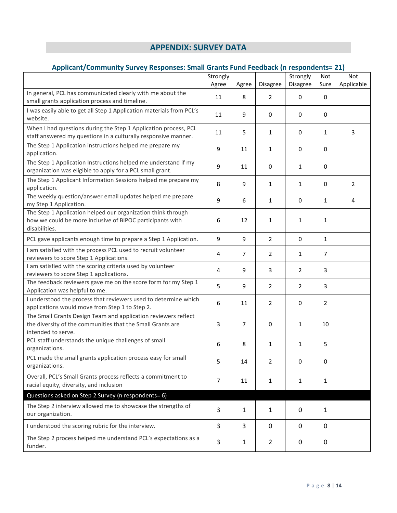## **APPENDIX: SURVEY DATA**

## **Applicant/Community Survey Responses: Small Grants Fund Feedback (n respondents= 21)**

|                                                                                                                                                    | Strongly |              |                | Strongly       | Not            | Not            |
|----------------------------------------------------------------------------------------------------------------------------------------------------|----------|--------------|----------------|----------------|----------------|----------------|
|                                                                                                                                                    | Agree    | Agree        | Disagree       | Disagree       | Sure           | Applicable     |
| In general, PCL has communicated clearly with me about the<br>small grants application process and timeline.                                       | 11       | 8            | $\overline{2}$ | $\mathbf 0$    | $\mathbf 0$    |                |
| I was easily able to get all Step 1 Application materials from PCL's<br>website.                                                                   | 11       | 9            | $\pmb{0}$      | 0              | $\mathbf 0$    |                |
| When I had questions during the Step 1 Application process, PCL<br>staff answered my questions in a culturally responsive manner.                  | 11       | 5            | 1              | $\mathbf 0$    | $\mathbf{1}$   | 3              |
| The Step 1 Application instructions helped me prepare my<br>application.                                                                           | 9        | 11           | 1              | $\mathbf 0$    | 0              |                |
| The Step 1 Application Instructions helped me understand if my<br>organization was eligible to apply for a PCL small grant.                        | 9        | 11           | 0              | $\mathbf{1}$   | $\mathbf 0$    |                |
| The Step 1 Applicant Information Sessions helped me prepare my<br>application.                                                                     | 8        | 9            | $\mathbf{1}$   | $\mathbf{1}$   | $\mathbf 0$    | $\overline{2}$ |
| The weekly question/answer email updates helped me prepare<br>my Step 1 Application.                                                               | 9        | 6            | 1              | $\mathbf 0$    | $\mathbf{1}$   | 4              |
| The Step 1 Application helped our organization think through<br>how we could be more inclusive of BIPOC participants with<br>disabilities.         | 6        | 12           | 1              | $\mathbf{1}$   | $\mathbf{1}$   |                |
| PCL gave applicants enough time to prepare a Step 1 Application.                                                                                   | 9        | 9            | $\overline{2}$ | 0              | $\mathbf{1}$   |                |
| I am satisfied with the process PCL used to recruit volunteer<br>reviewers to score Step 1 Applications.                                           | 4        | 7            | $\overline{2}$ | $\mathbf{1}$   | $\overline{7}$ |                |
| I am satisfied with the scoring criteria used by volunteer<br>reviewers to score Step 1 applications.                                              | 4        | 9            | 3              | $\overline{2}$ | 3              |                |
| The feedback reviewers gave me on the score form for my Step 1<br>Application was helpful to me.                                                   | 5        | 9            | $\overline{2}$ | $\overline{2}$ | 3              |                |
| I understood the process that reviewers used to determine which<br>applications would move from Step 1 to Step 2.                                  | 6        | 11           | $\overline{2}$ | 0              | $\overline{2}$ |                |
| The Small Grants Design Team and application reviewers reflect<br>the diversity of the communities that the Small Grants are<br>intended to serve. | 3        | 7            | $\pmb{0}$      | $\mathbf{1}$   | 10             |                |
| PCL staff understands the unique challenges of small<br>organizations.                                                                             | 6        | 8            | 1              | $\mathbf{1}$   | 5              |                |
| PCL made the small grants application process easy for small<br>organizations.                                                                     | 5        | 14           | 2              | $\mathbf 0$    | 0              |                |
| Overall, PCL's Small Grants process reflects a commitment to<br>racial equity, diversity, and inclusion                                            | 7        | 11           | 1              | $\mathbf{1}$   | 1              |                |
| Questions asked on Step 2 Survey (n respondents= 6)                                                                                                |          |              |                |                |                |                |
| The Step 2 interview allowed me to showcase the strengths of<br>our organization.                                                                  | 3        | $\mathbf{1}$ | $\mathbf{1}$   | 0              | $\mathbf{1}$   |                |
| I understood the scoring rubric for the interview.                                                                                                 | 3        | 3            | $\mathbf 0$    | 0              | 0              |                |
| The Step 2 process helped me understand PCL's expectations as a<br>funder.                                                                         | 3        | 1            | $\overline{2}$ | 0              | 0              |                |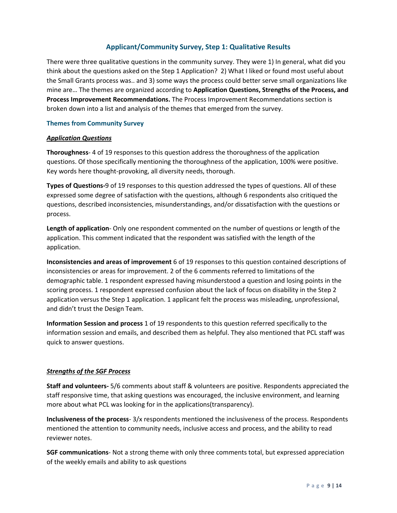#### **Applicant/Community Survey, Step 1: Qualitative Results**

There were three qualitative questions in the community survey. They were 1) In general, what did you think about the questions asked on the Step 1 Application? 2) What I liked or found most useful about the Small Grants process was.. and 3) some ways the process could better serve small organizations like mine are… The themes are organized according to **Application Questions, Strengths of the Process, and Process Improvement Recommendations.** The Process Improvement Recommendations section is broken down into a list and analysis of the themes that emerged from the survey.

#### **Themes from Community Survey**

#### *Application Questions*

**Thoroughness**- 4 of 19 responses to this question address the thoroughness of the application questions. Of those specifically mentioning the thoroughness of the application, 100% were positive. Key words here thought-provoking, all diversity needs, thorough.

**Types of Questions-**9 of 19 responses to this question addressed the types of questions. All of these expressed some degree of satisfaction with the questions, although 6 respondents also critiqued the questions, described inconsistencies, misunderstandings, and/or dissatisfaction with the questions or process.

**Length of application**- Only one respondent commented on the number of questions or length of the application. This comment indicated that the respondent was satisfied with the length of the application.

**Inconsistencies and areas of improvement** 6 of 19 responses to this question contained descriptions of inconsistencies or areas for improvement. 2 of the 6 comments referred to limitations of the demographic table. 1 respondent expressed having misunderstood a question and losing points in the scoring process. 1 respondent expressed confusion about the lack of focus on disability in the Step 2 application versus the Step 1 application. 1 applicant felt the process was misleading, unprofessional, and didn't trust the Design Team.

**Information Session and process** 1 of 19 respondents to this question referred specifically to the information session and emails, and described them as helpful. They also mentioned that PCL staff was quick to answer questions.

#### *Strengths of the SGF Process*

**Staff and volunteers-** 5/6 comments about staff & volunteers are positive. Respondents appreciated the staff responsive time, that asking questions was encouraged, the inclusive environment, and learning more about what PCL was looking for in the applications(transparency).

**Inclusiveness of the process**- 3/x respondents mentioned the inclusiveness of the process. Respondents mentioned the attention to community needs, inclusive access and process, and the ability to read reviewer notes.

**SGF communications**- Not a strong theme with only three comments total, but expressed appreciation of the weekly emails and ability to ask questions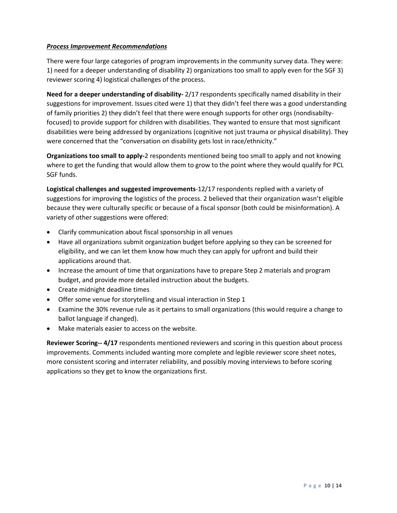#### *Process Improvement Recommendations*

There were four large categories of program improvements in the community survey data. They were: 1) need for a deeper understanding of disability 2) organizations too small to apply even for the SGF 3) reviewer scoring 4) logistical challenges of the process.

**Need for a deeper understanding of disability-** 2/17 respondents specifically named disability in their suggestions for improvement. Issues cited were 1) that they didn't feel there was a good understanding of family priorities 2) they didn't feel that there were enough supports for other orgs (nondisabiltyfocused) to provide support for children with disabilities. They wanted to ensure that most significant disabilities were being addressed by organizations (cognitive not just trauma or physical disability). They were concerned that the "conversation on disability gets lost in race/ethnicity."

**Organizations too small to apply-**2 respondents mentioned being too small to apply and not knowing where to get the funding that would allow them to grow to the point where they would qualify for PCL SGF funds.

**Logistical challenges and suggested improvements**-12/17 respondents replied with a variety of suggestions for improving the logistics of the process. 2 believed that their organization wasn't eligible because they were culturally specific or because of a fiscal sponsor (both could be misinformation). A variety of other suggestions were offered:

- Clarify communication about fiscal sponsorship in all venues
- Have all organizations submit organization budget before applying so they can be screened for eligibility, and we can let them know how much they can apply for upfront and build their applications around that.
- Increase the amount of time that organizations have to prepare Step 2 materials and program budget, and provide more detailed instruction about the budgets.
- Create midnight deadline times
- Offer some venue for storytelling and visual interaction in Step 1
- Examine the 30% revenue rule as it pertains to small organizations (this would require a change to ballot language if changed).
- Make materials easier to access on the website.

**Reviewer Scoring-- 4/17** respondents mentioned reviewers and scoring in this question about process improvements. Comments included wanting more complete and legible reviewer score sheet notes, more consistent scoring and interrater reliability, and possibly moving interviews to before scoring applications so they get to know the organizations first.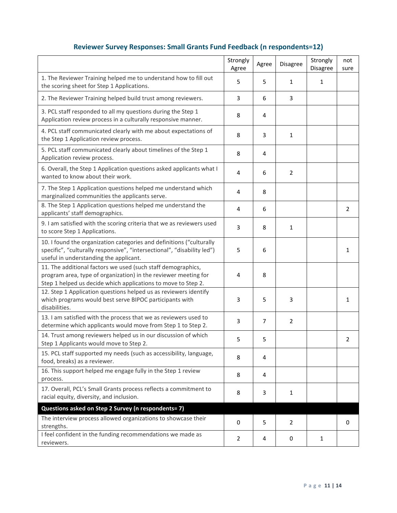| Reviewer Survey Responses: Small Grants Fund Feedback (n respondents=12) |  |  |
|--------------------------------------------------------------------------|--|--|
|--------------------------------------------------------------------------|--|--|

|                                                                                                                                                                                                  | Strongly<br>Agree | Agree          | Disagree       | Strongly<br>Disagree | not<br>sure |
|--------------------------------------------------------------------------------------------------------------------------------------------------------------------------------------------------|-------------------|----------------|----------------|----------------------|-------------|
| 1. The Reviewer Training helped me to understand how to fill out<br>the scoring sheet for Step 1 Applications.                                                                                   | 5                 | 5              | $\mathbf{1}$   | $\mathbf{1}$         |             |
| 2. The Reviewer Training helped build trust among reviewers.                                                                                                                                     | 3                 | 6              | 3              |                      |             |
| 3. PCL staff responded to all my questions during the Step 1<br>Application review process in a culturally responsive manner.                                                                    | 8                 | 4              |                |                      |             |
| 4. PCL staff communicated clearly with me about expectations of<br>the Step 1 Application review process.                                                                                        | 8                 | 3              | $\mathbf{1}$   |                      |             |
| 5. PCL staff communicated clearly about timelines of the Step 1<br>Application review process.                                                                                                   | 8                 | 4              |                |                      |             |
| 6. Overall, the Step 1 Application questions asked applicants what I<br>wanted to know about their work.                                                                                         | 4                 | 6              | $\overline{2}$ |                      |             |
| 7. The Step 1 Application questions helped me understand which<br>marginalized communities the applicants serve.                                                                                 | 4                 | 8              |                |                      |             |
| 8. The Step 1 Application questions helped me understand the<br>applicants' staff demographics.                                                                                                  | 4                 | 6              |                |                      | 2           |
| 9. I am satisfied with the scoring criteria that we as reviewers used<br>to score Step 1 Applications.                                                                                           | 3                 | 8              | 1              |                      |             |
| 10. I found the organization categories and definitions ("culturally<br>specific", "culturally responsive", "intersectional", "disability led")<br>useful in understanding the applicant.        | 5                 | 6              |                |                      | 1           |
| 11. The additional factors we used (such staff demographics,<br>program area, type of organization) in the reviewer meeting for<br>Step 1 helped us decide which applications to move to Step 2. | 4                 | 8              |                |                      |             |
| 12. Step 1 Application questions helped us as reviewers identify<br>which programs would best serve BIPOC participants with<br>disabilities.                                                     | 3                 | 5              | 3              |                      | 1           |
| 13. I am satisfied with the process that we as reviewers used to<br>determine which applicants would move from Step 1 to Step 2.                                                                 | 3                 | $\overline{7}$ | $\overline{2}$ |                      |             |
| 14. Trust among reviewers helped us in our discussion of which<br>Step 1 Applicants would move to Step 2.                                                                                        | 5                 | 5              |                |                      | 2           |
| 15. PCL staff supported my needs (such as accessibility, language,<br>food, breaks) as a reviewer.                                                                                               | 8                 | 4              |                |                      |             |
| 16. This support helped me engage fully in the Step 1 review<br>process.                                                                                                                         | 8                 | 4              |                |                      |             |
| 17. Overall, PCL's Small Grants process reflects a commitment to<br>racial equity, diversity, and inclusion.                                                                                     | 8                 | 3              | 1              |                      |             |
| Questions asked on Step 2 Survey (n respondents= 7)                                                                                                                                              |                   |                |                |                      |             |
| The interview process allowed organizations to showcase their<br>strengths.                                                                                                                      | 0                 | 5              | $\overline{2}$ |                      | 0           |
| I feel confident in the funding recommendations we made as<br>reviewers.                                                                                                                         | $\overline{2}$    | 4              | 0              | 1                    |             |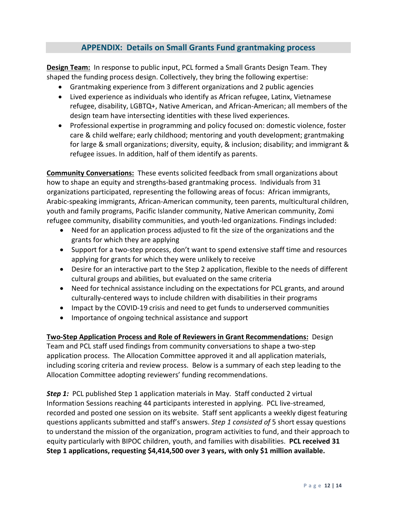## **APPENDIX: Details on Small Grants Fund grantmaking process**

**Design Team:** In response to public input, PCL formed a Small Grants Design Team. They shaped the funding process design. Collectively, they bring the following expertise:

- Grantmaking experience from 3 different organizations and 2 public agencies
- Lived experience as individuals who identify as African refugee, Latinx, Vietnamese refugee, disability, LGBTQ+, Native American, and African-American; all members of the design team have intersecting identities with these lived experiences.
- Professional expertise in programming and policy focused on: domestic violence, foster care & child welfare; early childhood; mentoring and youth development; grantmaking for large & small organizations; diversity, equity, & inclusion; disability; and immigrant & refugee issues. In addition, half of them identify as parents.

**Community Conversations:** These events solicited feedback from small organizations about how to shape an equity and strengths-based grantmaking process. Individuals from 31 organizations participated, representing the following areas of focus: African immigrants, Arabic-speaking immigrants, African-American community, teen parents, multicultural children, youth and family programs, Pacific Islander community, Native American community, Zomi refugee community, disability communities, and youth-led organizations. Findings included:

- Need for an application process adjusted to fit the size of the organizations and the grants for which they are applying
- Support for a two-step process, don't want to spend extensive staff time and resources applying for grants for which they were unlikely to receive
- Desire for an interactive part to the Step 2 application, flexible to the needs of different cultural groups and abilities, but evaluated on the same criteria
- Need for technical assistance including on the expectations for PCL grants, and around culturally-centered ways to include children with disabilities in their programs
- Impact by the COVID-19 crisis and need to get funds to underserved communities
- Importance of ongoing technical assistance and support

**Two-Step Application Process and Role of Reviewers in Grant Recommendations:** Design Team and PCL staff used findings from community conversations to shape a two-step application process. The Allocation Committee approved it and all application materials, including scoring criteria and review process. Below is a summary of each step leading to the Allocation Committee adopting reviewers' funding recommendations.

**Step 1:** PCL published Step 1 application materials in May. Staff conducted 2 virtual Information Sessions reaching 44 participants interested in applying. PCL live-streamed, recorded and posted one session on its website. Staff sent applicants a weekly digest featuring questions applicants submitted and staff's answers. *Step 1 consisted of* 5 short essay questions to understand the mission of the organization, program activities to fund, and their approach to equity particularly with BIPOC children, youth, and families with disabilities. **PCL received 31 Step 1 applications, requesting \$4,414,500 over 3 years, with only \$1 million available.**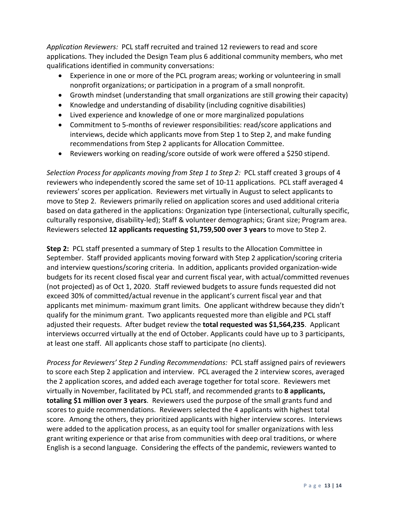*Application Reviewers:* PCL staff recruited and trained 12 reviewers to read and score applications. They included the Design Team plus 6 additional community members, who met qualifications identified in community conversations:

- Experience in one or more of the PCL program areas; working or volunteering in small nonprofit organizations; or participation in a program of a small nonprofit.
- Growth mindset (understanding that small organizations are still growing their capacity)
- Knowledge and understanding of disability (including cognitive disabilities)
- Lived experience and knowledge of one or more marginalized populations
- Commitment to 5-months of reviewer responsibilities: read/score applications and interviews, decide which applicants move from Step 1 to Step 2, and make funding recommendations from Step 2 applicants for Allocation Committee.
- Reviewers working on reading/score outside of work were offered a \$250 stipend.

*Selection Process for applicants moving from Step 1 to Step 2:* PCL staff created 3 groups of 4 reviewers who independently scored the same set of 10-11 applications. PCL staff averaged 4 reviewers' scores per application. Reviewers met virtually in August to select applicants to move to Step 2. Reviewers primarily relied on application scores and used additional criteria based on data gathered in the applications: Organization type (intersectional, culturally specific, culturally responsive, disability-led); Staff & volunteer demographics; Grant size; Program area. Reviewers selected **12 applicants requesting \$1,759,500 over 3 years** to move to Step 2.

**Step 2:** PCL staff presented a summary of Step 1 results to the Allocation Committee in September. Staff provided applicants moving forward with Step 2 application/scoring criteria and interview questions/scoring criteria. In addition, applicants provided organization-wide budgets for its recent closed fiscal year and current fiscal year, with actual/committed revenues (not projected) as of Oct 1, 2020. *S*taff reviewed budgets to assure funds requested did not exceed 30% of committed/actual revenue in the applicant's current fiscal year and that applicants met minimum- maximum grant limits. One applicant withdrew because they didn't qualify for the minimum grant. Two applicants requested more than eligible and PCL staff adjusted their requests. After budget review the **total requested was \$1,564,235**. Applicant interviews occurred virtually at the end of October. Applicants could have up to 3 participants, at least one staff. All applicants chose staff to participate (no clients).

*Process for Reviewers' Step 2 Funding Recommendations:* PCL staff assigned pairs of reviewers to score each Step 2 application and interview. PCL averaged the 2 interview scores, averaged the 2 application scores, and added each average together for total score. Reviewers met virtually in November, facilitated by PCL staff, and recommended grants to **8 applicants, totaling \$1 million over 3 years**. Reviewers used the purpose of the small grants fund and scores to guide recommendations. Reviewers selected the 4 applicants with highest total score. Among the others, they prioritized applicants with higher interview scores. Interviews were added to the application process, as an equity tool for smaller organizations with less grant writing experience or that arise from communities with deep oral traditions, or where English is a second language. Considering the effects of the pandemic, reviewers wanted to